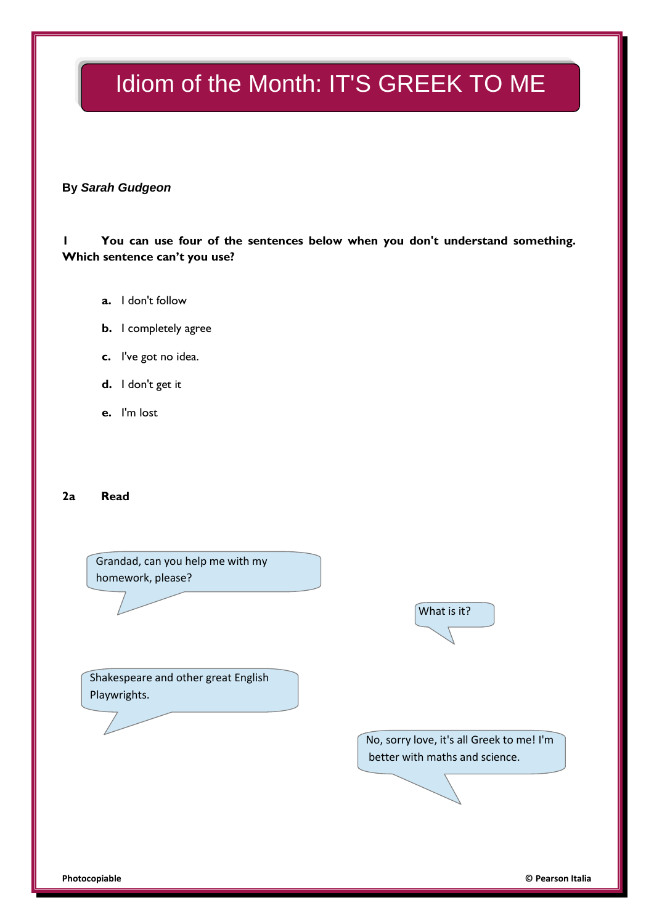# Idiom of the Month: IT'S GREEK TO ME

### **By** *Sarah Gudgeon*

### **1 You can use four of the sentences below when you don't understand something. Which sentence can't you use?**

- **a.** I don't follow
- **b.** I completely agree
- **c.** I've got no idea.
- **d.** I don't get it
- **e.** I'm lost

### **2a Read**

Grandad, can you help me with my homework, please?

What is it?

Shakespeare and other great English Playwrights.

> No, sorry love, it's all Greek to me! I'm better with maths and science.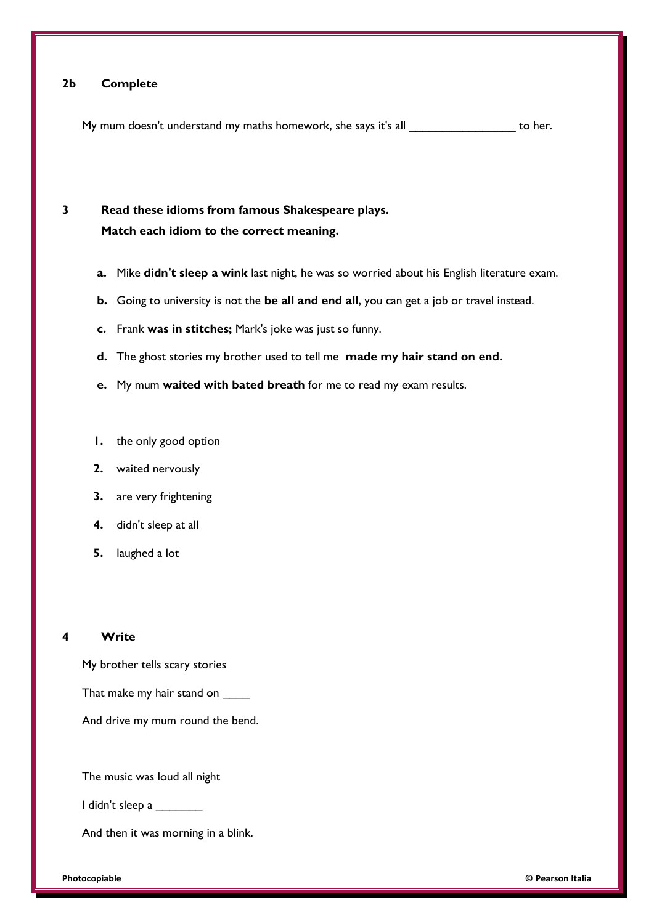### **2b Complete**

My mum doesn't understand my maths homework, she says it's all \_\_\_\_\_\_\_\_\_\_\_\_\_\_\_\_\_\_\_ to her.

### **3 Read these idioms from famous Shakespeare plays. Match each idiom to the correct meaning.**

- **a.** Mike **didn't sleep a wink** last night, he was so worried about his English literature exam.
- **b.** Going to university is not the **be all and end all**, you can get a job or travel instead.
- **c.** Frank **was in stitches;** Mark's joke was just so funny.
- **d.** The ghost stories my brother used to tell me **made my hair stand on end.**
- **e.** My mum **waited with bated breath** for me to read my exam results.
- **1.** the only good option
- **2.** waited nervously
- **3.** are very frightening
- **4.** didn't sleep at all
- **5.** laughed a lot

#### **4 Write**

My brother tells scary stories

That make my hair stand on \_\_\_\_\_

And drive my mum round the bend.

The music was loud all night

I didn't sleep a \_\_\_\_\_\_\_

And then it was morning in a blink.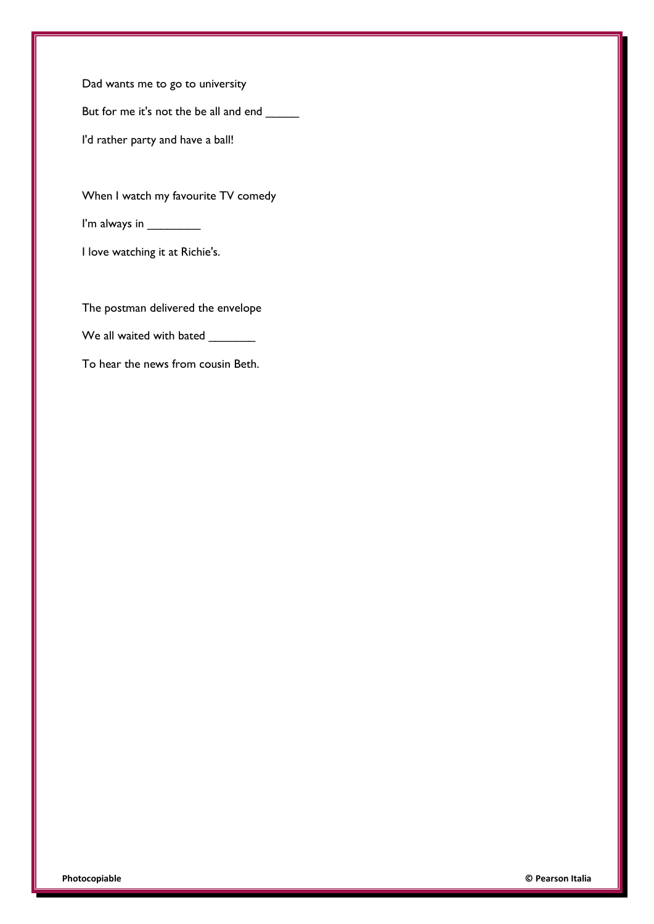Dad wants me to go to university

But for me it's not the be all and end \_\_\_\_\_

I'd rather party and have a ball!

When I watch my favourite TV comedy

I'm always in \_\_\_\_\_\_\_\_

I love watching it at Richie's.

The postman delivered the envelope

We all waited with bated \_\_\_\_\_\_\_\_

To hear the news from cousin Beth.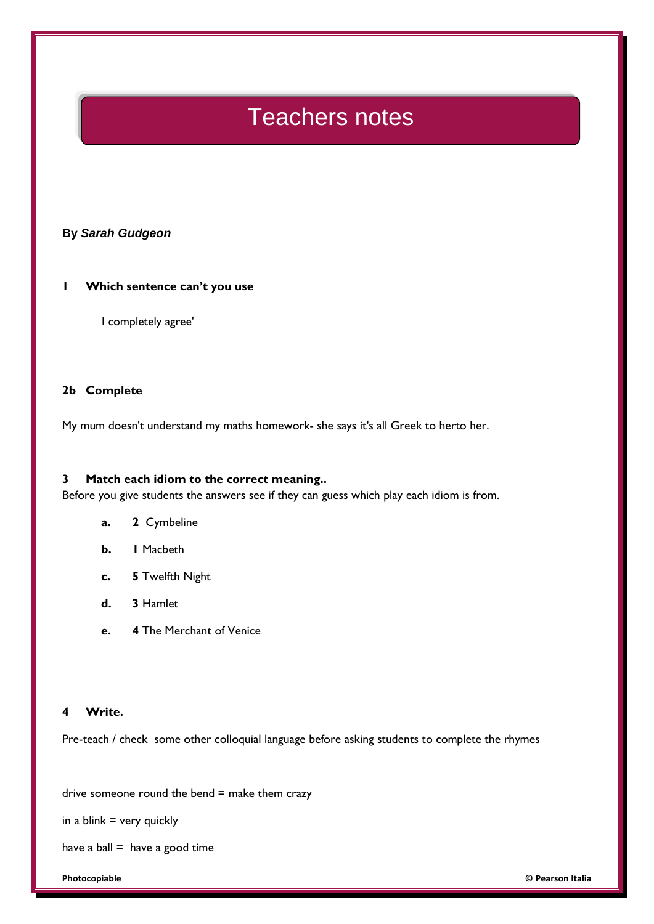## Teachers notes

### **By** *Sarah Gudgeon*

### **1 Which sentence can't you use**

I completely agree'

### **2b Complete**

My mum doesn't understand my maths homework- she says it's all Greek to herto her.

### **3 Match each idiom to the correct meaning..**

Before you give students the answers see if they can guess which play each idiom is from.

- **a. 2** Cymbeline
- **b. 1** Macbeth
- **c. 5** Twelfth Night
- **d. 3** Hamlet
- **e. 4** The Merchant of Venice

### **4 Write.**

Pre-teach / check some other colloquial language before asking students to complete the rhymes

drive someone round the bend  $=$  make them crazy

in a blink  $=$  very quickly

have a ball  $=$  have a good time